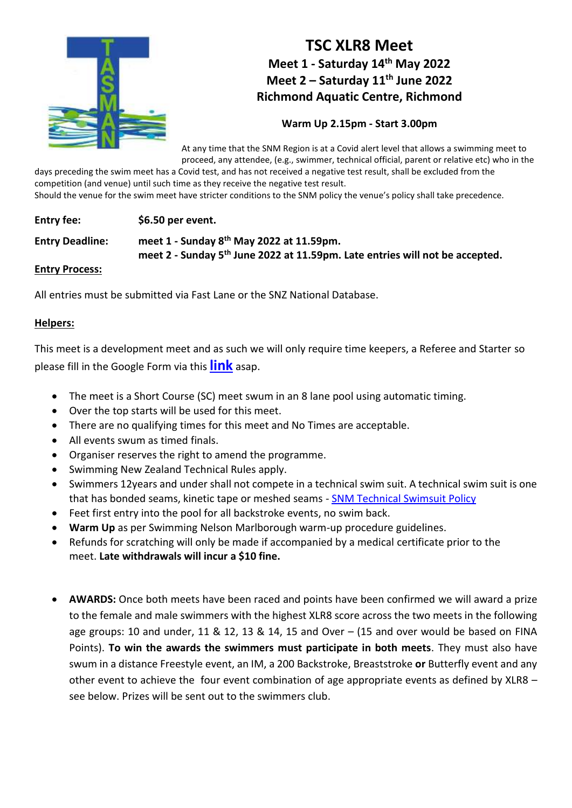

# **TSC XLR8 Meet Meet 1 - Saturday 14th May 2022 Meet 2 – Saturday 11th June 2022 Richmond Aquatic Centre, Richmond**

## **Warm Up 2.15pm - Start 3.00pm**

At any time that the SNM Region is at a Covid alert level that allows a swimming meet to proceed, any attendee, (e.g., swimmer, technical official, parent or relative etc) who in the

days preceding the swim meet has a Covid test, and has not received a negative test result, shall be excluded from the competition (and venue) until such time as they receive the negative test result.

Should the venue for the swim meet have stricter conditions to the SNM policy the venue's policy shall take precedence.

### **Entry fee: \$6.50 per event.**

**Entry Deadline: meet 1 - Sunday 8th May 2022 at 11.59pm. meet 2 - Sunday 5th June 2022 at 11.59pm. Late entries will not be accepted.** 

#### **Entry Process:**

All entries must be submitted via Fast Lane or the SNZ National Database.

#### **Helpers:**

This meet is a development meet and as such we will only require time keepers, a Referee and Starter so please fill in the Google Form via this **[link](https://docs.google.com/forms/d/e/1FAIpQLSdYr6cZIaiwuA8adck2Pb6Zq7GZC-vPyIlABXER3dxWSkUOtA/viewform?vc=0&c=0&w=1&flr=0&usp=mail_form_link)** asap.

- The meet is a Short Course (SC) meet swum in an 8 lane pool using automatic timing.
- Over the top starts will be used for this meet.
- There are no qualifying times for this meet and No Times are acceptable.
- All events swum as timed finals.
- Organiser reserves the right to amend the programme.
- Swimming New Zealand Technical Rules apply.
- Swimmers 12years and under shall not compete in a technical swim suit. A technical swim suit is one that has bonded seams, kinetic tape or meshed seams - [SNM Technical Swimsuit Policy](https://www.snm.org.nz/files/SNM_Tech_Suit_Policy-Nov2018.pdf)
- Feet first entry into the pool for all backstroke events, no swim back.
- **Warm Up** as per Swimming Nelson Marlborough warm-up procedure guidelines.
- Refunds for scratching will only be made if accompanied by a medical certificate prior to the meet. **Late withdrawals will incur a \$10 fine.**
- **AWARDS:** Once both meets have been raced and points have been confirmed we will award a prize to the female and male swimmers with the highest XLR8 score across the two meets in the following age groups: 10 and under, 11 & 12, 13 & 14, 15 and Over  $-$  (15 and over would be based on FINA Points). **To win the awards the swimmers must participate in both meets**. They must also have swum in a distance Freestyle event, an IM, a 200 Backstroke, Breaststroke **or** Butterfly event and any other event to achieve the four event combination of age appropriate events as defined by XLR8 – see below. Prizes will be sent out to the swimmers club.